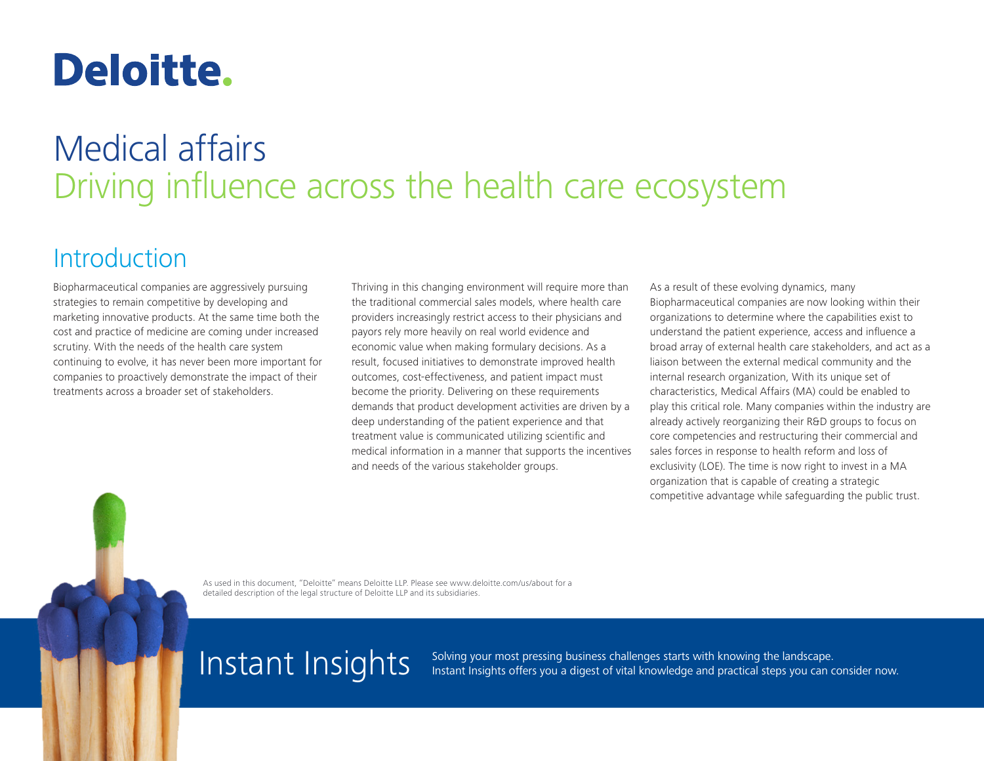# **Deloitte.**

# Medical affairs Driving influence across the health care ecosystem

# Introduction

Biopharmaceutical companies are aggressively pursuing strategies to remain competitive by developing and marketing innovative products. At the same time both the cost and practice of medicine are coming under increased scrutiny. With the needs of the health care system continuing to evolve, it has never been more important for companies to proactively demonstrate the impact of their treatments across a broader set of stakeholders.

Thriving in this changing environment will require more than the traditional commercial sales models, where health care providers increasingly restrict access to their physicians and payors rely more heavily on real world evidence and economic value when making formulary decisions. As a result, focused initiatives to demonstrate improved health outcomes, cost-effectiveness, and patient impact must become the priority. Delivering on these requirements demands that product development activities are driven by a deep understanding of the patient experience and that treatment value is communicated utilizing scientific and medical information in a manner that supports the incentives and needs of the various stakeholder groups.

As a result of these evolving dynamics, many Biopharmaceutical companies are now looking within their organizations to determine where the capabilities exist to understand the patient experience, access and influence a broad array of external health care stakeholders, and act as a liaison between the external medical community and the internal research organization, With its unique set of characteristics, Medical Affairs (MA) could be enabled to play this critical role. Many companies within the industry are already actively reorganizing their R&D groups to focus on core competencies and restructuring their commercial and sales forces in response to health reform and loss of exclusivity (LOE). The time is now right to invest in a MA organization that is capable of creating a strategic competitive advantage while safeguarding the public trust.

As used in this document, "Deloitte" means Deloitte LLP. Please see www.deloitte.com/us/about for a detailed description of the legal structure of Deloitte LLP and its subsidiaries.

Instant Insights offers you a digest of vital knowledge and practical steps you can context of the landscape. Instant Insights offers you a digest of vital knowledge and practical steps you can consider now.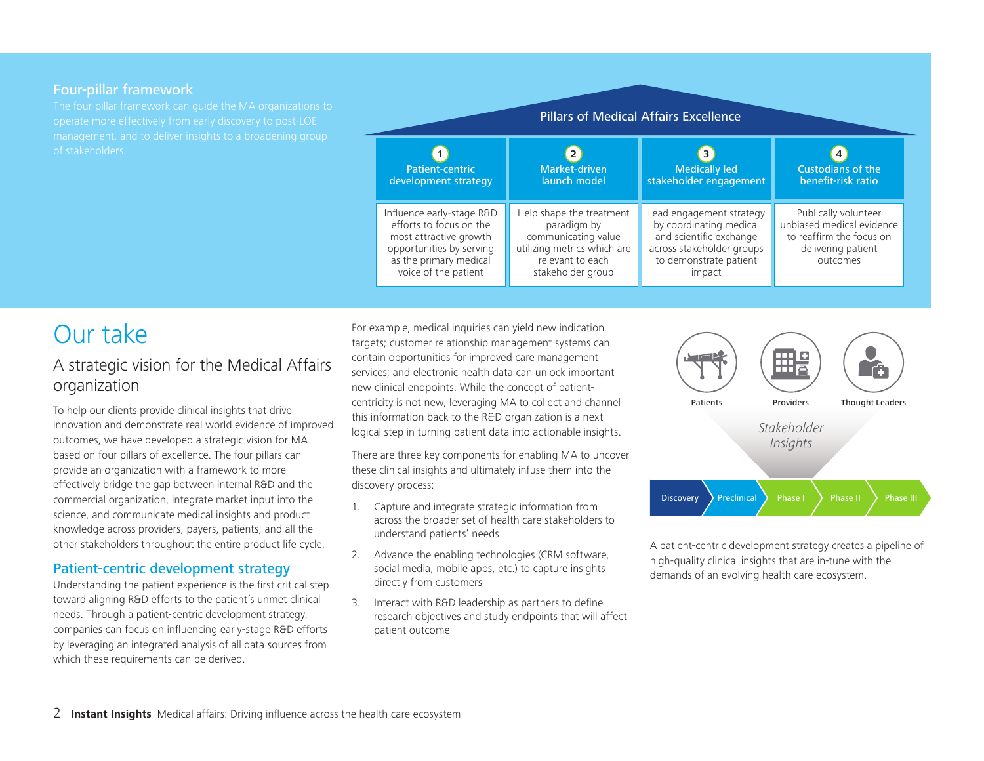## Four-pillar framework

| <b>Pillars of Medical Affairs Excellence</b> |                                                                                                                                                              |                                                                                                                                        |                                                                                                                                                 |                                                                                                                 |
|----------------------------------------------|--------------------------------------------------------------------------------------------------------------------------------------------------------------|----------------------------------------------------------------------------------------------------------------------------------------|-------------------------------------------------------------------------------------------------------------------------------------------------|-----------------------------------------------------------------------------------------------------------------|
|                                              | Patient-centric<br>development strategy                                                                                                                      | $\overline{2}$<br>Market-driven<br>launch model                                                                                        | $\overline{3}$<br><b>Medically led</b><br>stakeholder engagement                                                                                | <b>Custodians of the</b><br>benefit-risk ratio                                                                  |
|                                              | Influence early-stage R&D<br>efforts to focus on the<br>most attractive growth<br>opportunities by serving<br>as the primary medical<br>voice of the patient | Help shape the treatment<br>paradigm by<br>communicating value<br>utilizing metrics which are<br>relevant to each<br>stakeholder group | Lead engagement strategy<br>by coordinating medical<br>and scientific exchange<br>across stakeholder groups<br>to demonstrate patient<br>impact | Publically volunteer<br>unbiased medical evidence<br>to reaffirm the focus on<br>delivering patient<br>outcomes |

# Our take

# A strategic vision for the Medical Affairs organization

To help our clients provide clinical insights that drive innovation and demonstrate real world evidence of improved outcomes, we have developed a strategic vision for MA based on four pillars of excellence. The four pillars can provide an organization with a framework to more effectively bridge the gap between internal R&D and the commercial organization, integrate market input into the science, and communicate medical insights and product knowledge across providers, payers, patients, and all the other stakeholders throughout the entire product life cycle.

### Patient-centric development strategy

Understanding the patient experience is the first critical step toward aligning R&D efforts to the patient's unmet clinical needs. Through a patient-centric development strategy, companies can focus on influencing early-stage R&D efforts by leveraging an integrated analysis of all data sources from which these requirements can be derived.

For example, medical inquiries can yield new indication targets; customer relationship management systems can contain opportunities for improved care management services; and electronic health data can unlock important new clinical endpoints. While the concept of patientcentricity is not new, leveraging MA to collect and channel this information back to the R&D organization is a next logical step in turning patient data into actionable insights.

There are three key components for enabling MA to uncover these clinical insights and ultimately infuse them into the discovery process:

- 1. Capture and integrate strategic information from across the broader set of health care stakeholders to understand patients' needs
- 2. Advance the enabling technologies (CRM software, social media, mobile apps, etc.) to capture insights directly from customers
- 3. Interact with R&D leadership as partners to define research objectives and study endpoints that will affect patient outcome



A patient-centric development strategy creates a pipeline of high-quality clinical insights that are in-tune with the demands of an evolving health care ecosystem.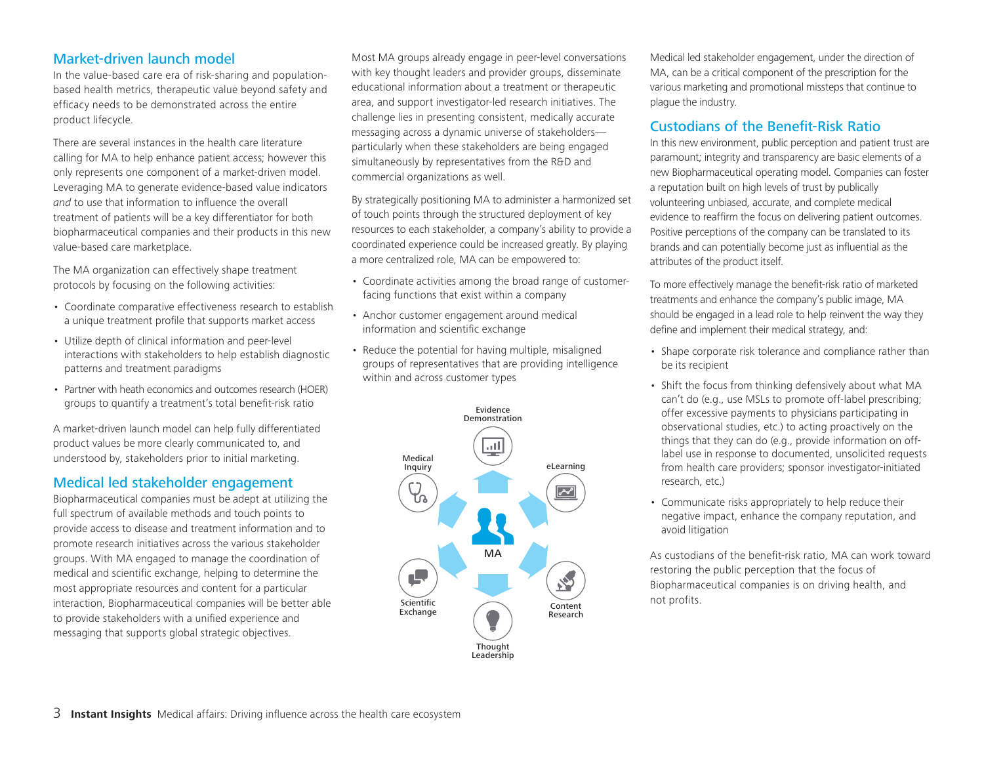### Market-driven launch model

In the value-based care era of risk-sharing and populationbased health metrics, therapeutic value beyond safety and efficacy needs to be demonstrated across the entire product lifecycle.

There are several instances in the health care literature calling for MA to help enhance patient access; however this only represents one component of a market-driven model. Leveraging MA to generate evidence-based value indicators *and* to use that information to influence the overall treatment of patients will be a key differentiator for both biopharmaceutical companies and their products in this new value-based care marketplace.

The MA organization can effectively shape treatment protocols by focusing on the following activities:

- Coordinate comparative effectiveness research to establish a unique treatment profile that supports market access
- Utilize depth of clinical information and peer-level interactions with stakeholders to help establish diagnostic patterns and treatment paradigms
- Partner with heath economics and outcomes research (HOER) groups to quantify a treatment's total benefit-risk ratio

A market-driven launch model can help fully differentiated product values be more clearly communicated to, and understood by, stakeholders prior to initial marketing.

# Medical led stakeholder engagement

Biopharmaceutical companies must be adept at utilizing the full spectrum of available methods and touch points to provide access to disease and treatment information and to promote research initiatives across the various stakeholder groups. With MA engaged to manage the coordination of medical and scientific exchange, helping to determine the most appropriate resources and content for a particular interaction, Biopharmaceutical companies will be better able to provide stakeholders with a unified experience and messaging that supports global strategic objectives.

Most MA groups already engage in peer-level conversations with key thought leaders and provider groups, disseminate educational information about a treatment or therapeutic area, and support investigator-led research initiatives. The challenge lies in presenting consistent, medically accurate messaging across a dynamic universe of stakeholders particularly when these stakeholders are being engaged simultaneously by representatives from the R&D and commercial organizations as well.

By strategically positioning MA to administer a harmonized set of touch points through the structured deployment of key resources to each stakeholder, a company's ability to provide a coordinated experience could be increased greatly. By playing a more centralized role, MA can be empowered to:

- Coordinate activities among the broad range of customerfacing functions that exist within a company
- Anchor customer engagement around medical information and scientific exchange
- Reduce the potential for having multiple, misaligned groups of representatives that are providing intelligence within and across customer types



Medical led stakeholder engagement, under the direction of MA, can be a critical component of the prescription for the various marketing and promotional missteps that continue to plague the industry.

### Custodians of the Benefit-Risk Ratio

In this new environment, public perception and patient trust are paramount; integrity and transparency are basic elements of a new Biopharmaceutical operating model. Companies can foster a reputation built on high levels of trust by publically volunteering unbiased, accurate, and complete medical evidence to reaffirm the focus on delivering patient outcomes. Positive perceptions of the company can be translated to its brands and can potentially become just as influential as the attributes of the product itself.

To more effectively manage the benefit-risk ratio of marketed treatments and enhance the company's public image, MA should be engaged in a lead role to help reinvent the way they define and implement their medical strategy, and:

- Shape corporate risk tolerance and compliance rather than be its recipient
- Shift the focus from thinking defensively about what MA can't do (e.g., use MSLs to promote off-label prescribing; offer excessive payments to physicians participating in observational studies, etc.) to acting proactively on the things that they can do (e.g., provide information on offlabel use in response to documented, unsolicited requests from health care providers; sponsor investigator-initiated research, etc.)
- Communicate risks appropriately to help reduce their negative impact, enhance the company reputation, and avoid litigation

As custodians of the benefit-risk ratio, MA can work toward restoring the public perception that the focus of Biopharmaceutical companies is on driving health, and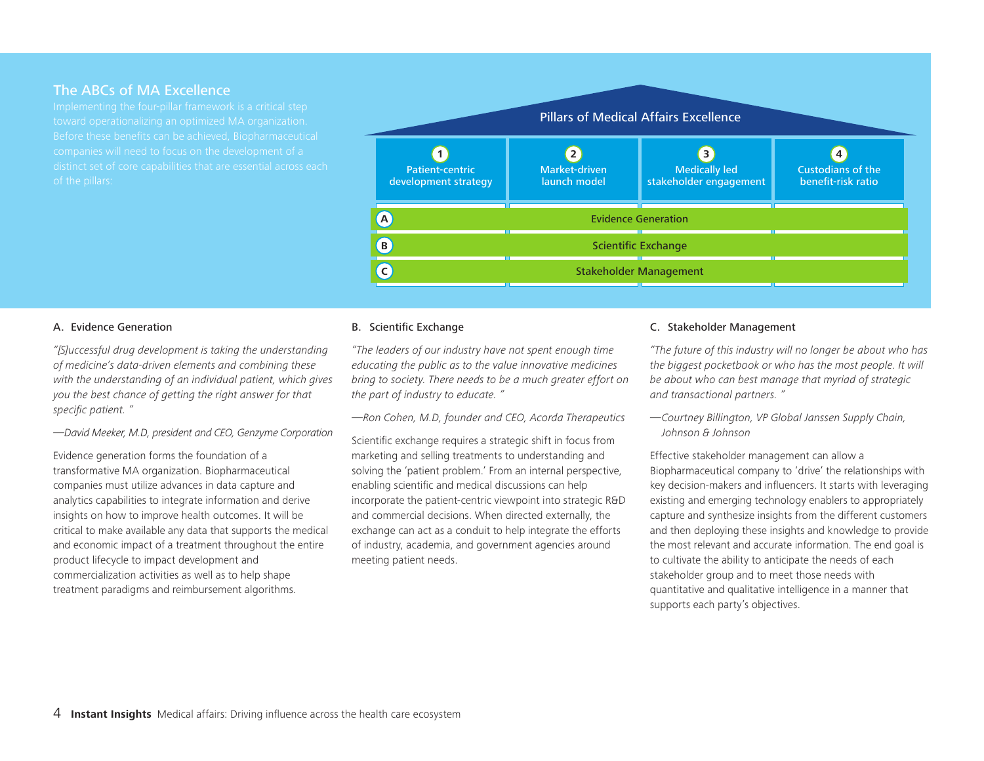### The ABCs of MA Excellence

Before these benefits can be achieved, Biopharmaceutical distinct set of core capabilities that are essential across each



#### A. Evidence Generation

*"[S]uccessful drug development is taking the understanding of medicine's data-driven elements and combining these with the understanding of an individual patient, which gives you the best chance of getting the right answer for that specific patient. "*

*—David Meeker, M.D, president and CEO, Genzyme Corporation* 

Evidence generation forms the foundation of a transformative MA organization. Biopharmaceutical companies must utilize advances in data capture and analytics capabilities to integrate information and derive insights on how to improve health outcomes. It will be critical to make available any data that supports the medical and economic impact of a treatment throughout the entire product lifecycle to impact development and commercialization activities as well as to help shape treatment paradigms and reimbursement algorithms.

#### B. Scientific Exchange

*"The leaders of our industry have not spent enough time educating the public as to the value innovative medicines bring to society. There needs to be a much greater effort on the part of industry to educate. "* 

*—Ron Cohen, M.D, founder and CEO, Acorda Therapeutics*

Scientific exchange requires a strategic shift in focus from marketing and selling treatments to understanding and solving the 'patient problem.' From an internal perspective, enabling scientific and medical discussions can help incorporate the patient-centric viewpoint into strategic R&D and commercial decisions. When directed externally, the exchange can act as a conduit to help integrate the efforts of industry, academia, and government agencies around meeting patient needs.

#### C. Stakeholder Management

*"The future of this industry will no longer be about who has the biggest pocketbook or who has the most people. It will be about who can best manage that myriad of strategic and transactional partners. "* 

*—Courtney Billington, VP Global Janssen Supply Chain, Johnson & Johnson*

Effective stakeholder management can allow a Biopharmaceutical company to 'drive' the relationships with key decision-makers and influencers. It starts with leveraging existing and emerging technology enablers to appropriately capture and synthesize insights from the different customers and then deploying these insights and knowledge to provide the most relevant and accurate information. The end goal is to cultivate the ability to anticipate the needs of each stakeholder group and to meet those needs with quantitative and qualitative intelligence in a manner that supports each party's objectives.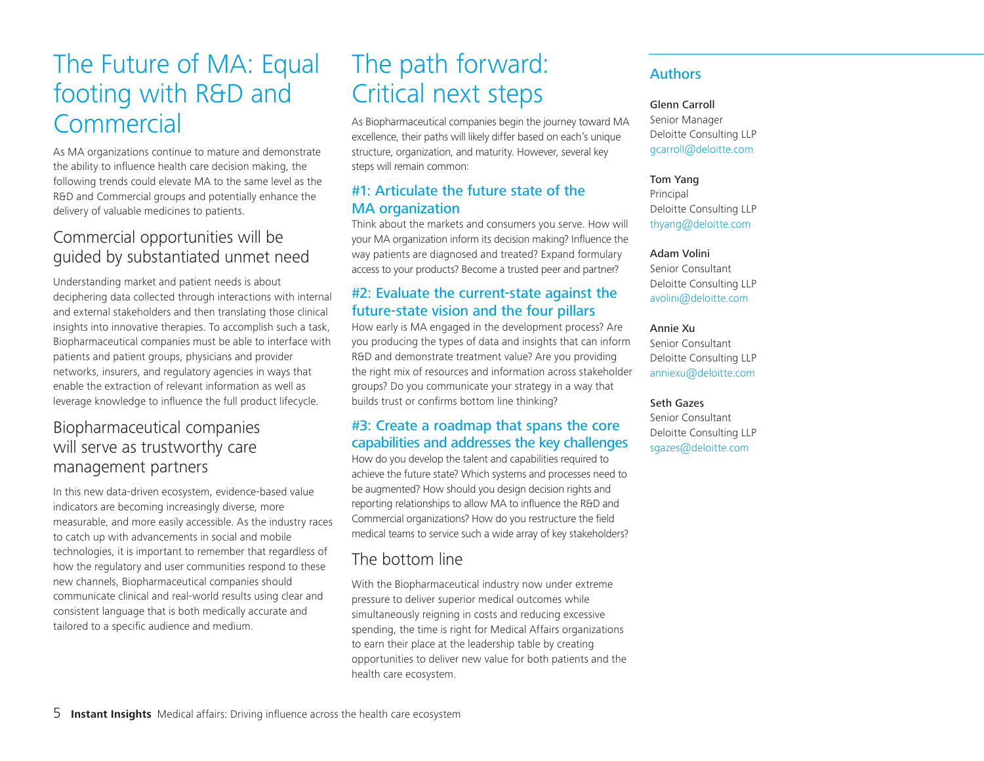# The Future of MA: Equal footing with R&D and **Commercial**

As MA organizations continue to mature and demonstrate the ability to influence health care decision making, the following trends could elevate MA to the same level as the R&D and Commercial groups and potentially enhance the delivery of valuable medicines to patients.

# Commercial opportunities will be guided by substantiated unmet need

Understanding market and patient needs is about deciphering data collected through interactions with internal and external stakeholders and then translating those clinical insights into innovative therapies. To accomplish such a task, Biopharmaceutical companies must be able to interface with patients and patient groups, physicians and provider networks, insurers, and regulatory agencies in ways that enable the extraction of relevant information as well as leverage knowledge to influence the full product lifecycle.

# Biopharmaceutical companies will serve as trustworthy care management partners

In this new data-driven ecosystem, evidence-based value indicators are becoming increasingly diverse, more measurable, and more easily accessible. As the industry races to catch up with advancements in social and mobile technologies, it is important to remember that regardless of how the regulatory and user communities respond to these new channels, Biopharmaceutical companies should communicate clinical and real-world results using clear and consistent language that is both medically accurate and tailored to a specific audience and medium.

# The path forward: Critical next steps

As Biopharmaceutical companies begin the journey toward MA excellence, their paths will likely differ based on each's unique structure, organization, and maturity. However, several key steps will remain common:

# #1: Articulate the future state of the MA organization

Think about the markets and consumers you serve. How will your MA organization inform its decision making? Influence the way patients are diagnosed and treated? Expand formulary access to your products? Become a trusted peer and partner?

# #2: Evaluate the current-state against the future-state vision and the four pillars

How early is MA engaged in the development process? Are you producing the types of data and insights that can inform R&D and demonstrate treatment value? Are you providing the right mix of resources and information across stakeholder groups? Do you communicate your strategy in a way that builds trust or confirms bottom line thinking?

# #3: Create a roadmap that spans the core capabilities and addresses the key challenges

How do you develop the talent and capabilities required to achieve the future state? Which systems and processes need to be augmented? How should you design decision rights and reporting relationships to allow MA to influence the R&D and Commercial organizations? How do you restructure the field medical teams to service such a wide array of key stakeholders?

# The bottom line

With the Biopharmaceutical industry now under extreme pressure to deliver superior medical outcomes while simultaneously reigning in costs and reducing excessive spending, the time is right for Medical Affairs organizations to earn their place at the leadership table by creating opportunities to deliver new value for both patients and the health care ecosystem.

## Authors

### Glenn Carroll

Senior Manager Deloitte Consulting LLP gcarroll@deloitte.com

### Tom Yang

Principal Deloitte Consulting LLP thyang@deloitte.com

### Adam Volini

Senior Consultant Deloitte Consulting LLP avolini@deloitte.com

### Annie Xu

Senior Consultant Deloitte Consulting LLP anniexu@deloitte.com

### Seth Gazes

Senior Consultant Deloitte Consulting LLP sgazes@deloitte.com